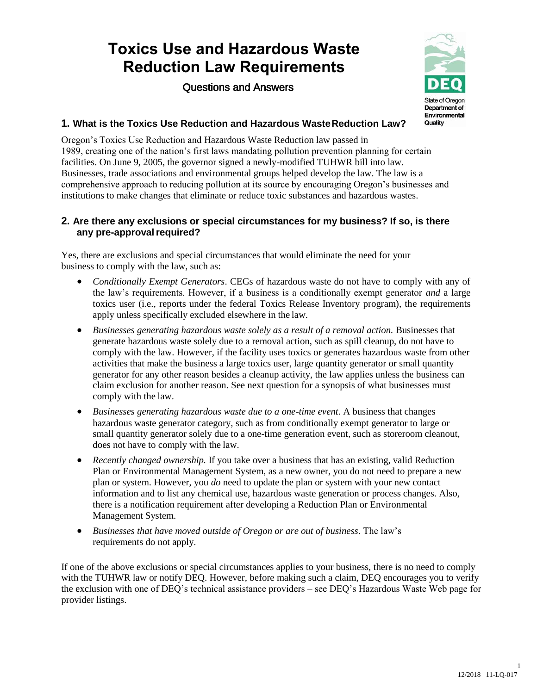# **Toxics Use and Hazardous Waste Reduction Law Requirements**

Questions and Answers



# **1. What is the Toxics Use Reduction and Hazardous WasteReduction Law?**

Oregon's Toxics Use Reduction and Hazardous Waste Reduction law passed in 1989, creating one of the nation's first laws mandating pollution prevention planning for certain facilities. On June 9, 2005, the governor signed a newly-modified TUHWR bill into law. Businesses, trade associations and environmental groups helped develop the law. The law is a comprehensive approach to reducing pollution at its source by encouraging Oregon's businesses and institutions to make changes that eliminate or reduce toxic substances and hazardous wastes.

#### **2. Are there any exclusions or special circumstances for my business? If so, is there any pre-approvalrequired?**

Yes, there are exclusions and special circumstances that would eliminate the need for your business to comply with the law, such as:

- *Conditionally Exempt Generators*. CEGs of hazardous waste do not have to comply with any of the law's requirements. However, if a business is a conditionally exempt generator *and* a large toxics user (i.e., reports under the federal Toxics Release Inventory program), the requirements apply unless specifically excluded elsewhere in the law.
- Businesses generating hazardous waste solely as a result of a removal action. Businesses that generate hazardous waste solely due to a removal action, such as spill cleanup, do not have to comply with the law. However, if the facility uses toxics or generates hazardous waste from other activities that make the business a large toxics user, large quantity generator or small quantity generator for any other reason besides a cleanup activity, the law applies unless the business can claim exclusion for another reason. See next question for a synopsis of what businesses must comply with the law.
- *Businesses generating hazardous waste due to a one-time event*. A business that changes hazardous waste generator category, such as from conditionally exempt generator to large or small quantity generator solely due to a one-time generation event, such as storeroom cleanout, does not have to comply with the law.
- *Recently changed ownership.* If you take over a business that has an existing, valid Reduction Plan or Environmental Management System, as a new owner, you do not need to prepare a new plan or system. However, you *do* need to update the plan or system with your new contact information and to list any chemical use, hazardous waste generation or process changes. Also, there is a notification requirement after developing a Reduction Plan or Environmental Management System.
- *Businesses that have moved outside of Oregon or are out of business*. The law's requirements do not apply.

If one of the above exclusions or special circumstances applies to your business, there is no need to comply with the TUHWR law or notify DEQ. However, before making such a claim, DEQ encourages you to verify the exclusion with one of DEQ's technical assistance providers – see DEQ's Hazardous Waste Web page for provider listings.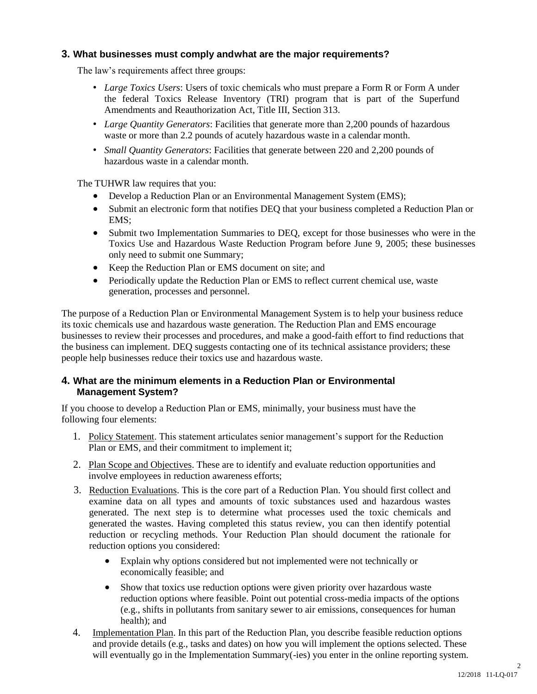## **3. What businesses must comply andwhat are the major requirements?**

The law's requirements affect three groups:

- *Large Toxics Users*: Users of toxic chemicals who must prepare a Form R or Form A under the federal Toxics Release Inventory (TRI) program that is part of the Superfund Amendments and Reauthorization Act, Title III, Section 313.
- *Large Quantity Generators*: Facilities that generate more than 2,200 pounds of hazardous waste or more than 2.2 pounds of acutely hazardous waste in a calendar month.
- *Small Quantity Generators*: Facilities that generate between 220 and 2,200 pounds of hazardous waste in a calendar month.

The TUHWR law requires that you:

- Develop a Reduction Plan or an Environmental Management System (EMS);
- Submit an electronic form that notifies DEQ that your business completed a Reduction Plan or EMS;
- Submit two Implementation Summaries to DEQ, except for those businesses who were in the Toxics Use and Hazardous Waste Reduction Program before June 9, 2005; these businesses only need to submit one Summary;
- Keep the Reduction Plan or EMS document on site; and
- Periodically update the Reduction Plan or EMS to reflect current chemical use, waste generation, processes and personnel.

The purpose of a Reduction Plan or Environmental Management System is to help your business reduce its toxic chemicals use and hazardous waste generation. The Reduction Plan and EMS encourage businesses to review their processes and procedures, and make a good-faith effort to find reductions that the business can implement. DEQ suggests contacting one of its technical assistance providers; these people help businesses reduce their toxics use and hazardous waste.

### **4. What are the minimum elements in a Reduction Plan or Environmental Management System?**

If you choose to develop a Reduction Plan or EMS, minimally, your business must have the following four elements:

- 1. Policy Statement. This statement articulates senior management's support for the Reduction Plan or EMS, and their commitment to implement it;
- 2. Plan Scope and Objectives. These are to identify and evaluate reduction opportunities and involve employees in reduction awareness efforts;
- 3. Reduction Evaluations. This is the core part of a Reduction Plan. You should first collect and examine data on all types and amounts of toxic substances used and hazardous wastes generated. The next step is to determine what processes used the toxic chemicals and generated the wastes. Having completed this status review, you can then identify potential reduction or recycling methods. Your Reduction Plan should document the rationale for reduction options you considered:
	- Explain why options considered but not implemented were not technically or economically feasible; and
	- Show that toxics use reduction options were given priority over hazardous waste reduction options where feasible. Point out potential cross-media impacts of the options (e.g., shifts in pollutants from sanitary sewer to air emissions, consequences for human health); and
- 4. Implementation Plan. In this part of the Reduction Plan, you describe feasible reduction options and provide details (e.g., tasks and dates) on how you will implement the options selected. These will eventually go in the Implementation Summary(-ies) you enter in the online reporting system.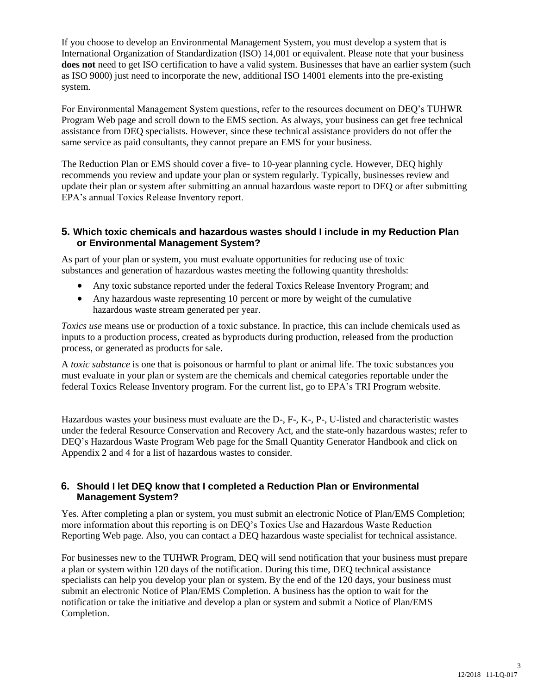If you choose to develop an Environmental Management System, you must develop a system that is International Organization of Standardization (ISO) 14,001 or equivalent. Please note that your business does not need to get ISO certification to have a valid system. Businesses that have an earlier system (such as ISO 9000) just need to incorporate the new, additional ISO 14001 elements into the pre-existing system.

For Environmental Management System questions, refer to the resources document on DEQ's TUHWR Program Web page and scroll down to the EMS section. As always, your business can get free technical assistance from DEQ specialists. However, since these technical assistance providers do not offer the same service as paid consultants, they cannot prepare an EMS for your business.

The Reduction Plan or EMS should cover a five- to 10-year planning cycle. However, DEQ highly recommends you review and update your plan or system regularly. Typically, businesses review and update their plan or system after submitting an annual hazardous waste report to DEQ or after submitting EPA's annual Toxics Release Inventory report.

#### **5. Which toxic chemicals and hazardous wastes should I include in my Reduction Plan or Environmental Management System?**

As part of your plan or system, you must evaluate opportunities for reducing use of toxic substances and generation of hazardous wastes meeting the following quantity thresholds:

- Any toxic substance reported under the federal Toxics Release Inventory Program; and
- Any hazardous waste representing 10 percent or more by weight of the cumulative hazardous waste stream generated per year.

*Toxics use* means use or production of a toxic substance. In practice, this can include chemicals used as inputs to a production process, created as byproducts during production, released from the production process, or generated as products for sale.

A *toxic substance* is one that is poisonous or harmful to plant or animal life. The toxic substances you must evaluate in your plan or system are the chemicals and chemical categories reportable under the federal Toxics Release Inventory program. For the current list, go to EPA's TRI Program website.

Hazardous wastes your business must evaluate are the D-, F-, K-, P-, U-listed and characteristic wastes under the federal Resource Conservation and Recovery Act, and the state-only hazardous wastes; refer to DEQ's Hazardous Waste Program Web page for the Small Quantity Generator Handbook and click on Appendix 2 and 4 for a list of hazardous wastes to consider.

### **6. Should I let DEQ know that I completed a Reduction Plan or Environmental Management System?**

Yes. After completing a plan or system, you must submit an electronic Notice of Plan/EMS Completion; more information about this reporting is on DEQ's Toxics Use and Hazardous Waste Reduction Reporting Web page. Also, you can contact a DEQ hazardous waste specialist for technical assistance.

For businesses new to the TUHWR Program, DEQ will send notification that your business must prepare a plan or system within 120 days of the notification. During this time, DEQ technical assistance specialists can help you develop your plan or system. By the end of the 120 days, your business must submit an electronic Notice of Plan/EMS Completion. A business has the option to wait for the notification or take the initiative and develop a plan or system and submit a Notice of Plan/EMS Completion.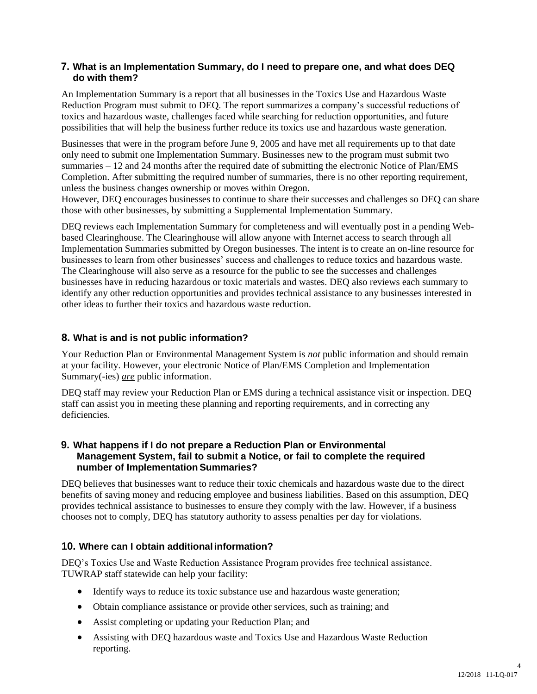### **7. What is an Implementation Summary, do I need to prepare one, and what does DEQ do with them?**

An Implementation Summary is a report that all businesses in the Toxics Use and Hazardous Waste Reduction Program must submit to DEQ. The report summarizes a company's successful reductions of toxics and hazardous waste, challenges faced while searching for reduction opportunities, and future possibilities that will help the business further reduce its toxics use and hazardous waste generation.

Businesses that were in the program before June 9, 2005 and have met all requirements up to that date only need to submit one Implementation Summary. Businesses new to the program must submit two summaries – 12 and 24 months after the required date of submitting the electronic Notice of Plan/EMS Completion. After submitting the required number of summaries, there is no other reporting requirement, unless the business changes ownership or moves within Oregon.

However, DEQ encourages businesses to continue to share their successes and challenges so DEQ can share those with other businesses, by submitting a Supplemental Implementation Summary.

DEQ reviews each Implementation Summary for completeness and will eventually post in a pending Webbased Clearinghouse. The Clearinghouse will allow anyone with Internet access to search through all Implementation Summaries submitted by Oregon businesses. The intent is to create an on-line resource for businesses to learn from other businesses' success and challenges to reduce toxics and hazardous waste. The Clearinghouse will also serve as a resource for the public to see the successes and challenges businesses have in reducing hazardous or toxic materials and wastes. DEQ also reviews each summary to identify any other reduction opportunities and provides technical assistance to any businesses interested in other ideas to further their toxics and hazardous waste reduction.

### **8. What is and is not public information?**

Your Reduction Plan or Environmental Management System is *not* public information and should remain at your facility. However, your electronic Notice of Plan/EMS Completion and Implementation Summary(-ies) *are* public information.

DEQ staff may review your Reduction Plan or EMS during a technical assistance visit or inspection. DEQ staff can assist you in meeting these planning and reporting requirements, and in correcting any deficiencies.

#### **9. What happens if I do not prepare a Reduction Plan or Environmental Management System, fail to submit a Notice, or fail to complete the required number of ImplementationSummaries?**

DEQ believes that businesses want to reduce their toxic chemicals and hazardous waste due to the direct benefits of saving money and reducing employee and business liabilities. Based on this assumption, DEQ provides technical assistance to businesses to ensure they comply with the law. However, if a business chooses not to comply, DEQ has statutory authority to assess penalties per day for violations.

### **10. Where can I obtain additionalinformation?**

DEQ's Toxics Use and Waste Reduction Assistance Program provides free technical assistance. TUWRAP staff statewide can help your facility:

- Identify ways to reduce its toxic substance use and hazardous waste generation;
- Obtain compliance assistance or provide other services, such as training; and
- Assist completing or updating your Reduction Plan; and
- Assisting with DEQ hazardous waste and Toxics Use and Hazardous Waste Reduction reporting.